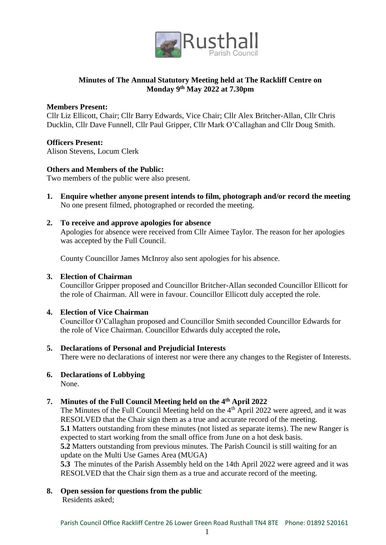

# **Minutes of The Annual Statutory Meeting held at The Rackliff Centre on Monday 9th May 2022 at 7.30pm**

### **Members Present:**

Cllr Liz Ellicott, Chair; Cllr Barry Edwards, Vice Chair; Cllr Alex Britcher-Allan, Cllr Chris Ducklin, Cllr Dave Funnell, Cllr Paul Gripper, Cllr Mark O'Callaghan and Cllr Doug Smith.

# **Officers Present:**

Alison Stevens, Locum Clerk

# **Others and Members of the Public:**

Two members of the public were also present.

- **1. Enquire whether anyone present intends to film, photograph and/or record the meeting** No one present filmed, photographed or recorded the meeting.
- **2. To receive and approve apologies for absence** Apologies for absence were received from Cllr Aimee Taylor. The reason for her apologies was accepted by the Full Council.

County Councillor James McInroy also sent apologies for his absence.

### **3. Election of Chairman**

Councillor Gripper proposed and Councillor Britcher-Allan seconded Councillor Ellicott for the role of Chairman. All were in favour. Councillor Ellicott duly accepted the role.

# **4. Election of Vice Chairman**

Councillor O'Callaghan proposed and Councillor Smith seconded Councillor Edwards for the role of Vice Chairman. Councillor Edwards duly accepted the role**.** 

**5. Declarations of Personal and Prejudicial Interests**

There were no declarations of interest nor were there any changes to the Register of Interests.

# **6. Declarations of Lobbying**

None.

# **7. Minutes of the Full Council Meeting held on the 4th April 2022**

The Minutes of the Full Council Meeting held on the 4<sup>th</sup> April 2022 were agreed, and it was RESOLVED that the Chair sign them as a true and accurate record of the meeting. **5.1** Matters outstanding from these minutes (not listed as separate items). The new Ranger is expected to start working from the small office from June on a hot desk basis. **5.2** Matters outstanding from previous minutes. The Parish Council is still waiting for an update on the Multi Use Games Area (MUGA)

**5.3** The minutes of the Parish Assembly held on the 14th April 2022 were agreed and it was RESOLVED that the Chair sign them as a true and accurate record of the meeting.

**8. Open session for questions from the public**

Residents asked;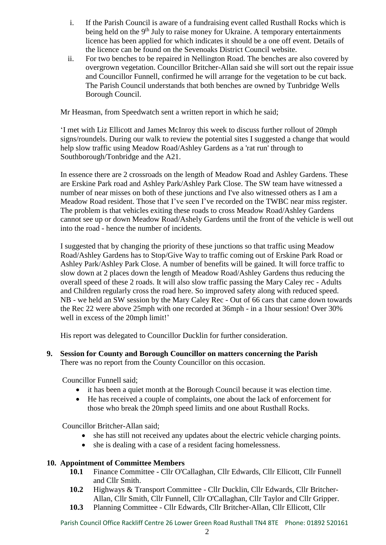- i. If the Parish Council is aware of a fundraising event called Rusthall Rocks which is being held on the  $9<sup>th</sup>$  July to raise money for Ukraine. A temporary entertainments licence has been applied for which indicates it should be a one off event. Details of the licence can be found on the Sevenoaks District Council website.
- ii. For two benches to be repaired in Nellington Road. The benches are also covered by overgrown vegetation. Councillor Britcher-Allan said she will sort out the repair issue and Councillor Funnell, confirmed he will arrange for the vegetation to be cut back. The Parish Council understands that both benches are owned by Tunbridge Wells Borough Council.

Mr Heasman, from Speedwatch sent a written report in which he said;

'I met with Liz Ellicott and James McInroy this week to discuss further rollout of 20mph signs/roundels. During our walk to review the potential sites I suggested a change that would help slow traffic using Meadow Road/Ashley Gardens as a 'rat run' through to Southborough/Tonbridge and the A21.

In essence there are 2 crossroads on the length of Meadow Road and Ashley Gardens. These are Erskine Park road and Ashley Park/Ashley Park Close. The SW team have witnessed a number of near misses on both of these junctions and I've also witnessed others as I am a Meadow Road resident. Those that I've seen I've recorded on the TWBC near miss register. The problem is that vehicles exiting these roads to cross Meadow Road/Ashley Gardens cannot see up or down Meadow Road/Ashely Gardens until the front of the vehicle is well out into the road - hence the number of incidents.

I suggested that by changing the priority of these junctions so that traffic using Meadow Road/Ashley Gardens has to Stop/Give Way to traffic coming out of Erskine Park Road or Ashley Park/Ashley Park Close. A number of benefits will be gained. It will force traffic to slow down at 2 places down the length of Meadow Road/Ashley Gardens thus reducing the overall speed of these 2 roads. It will also slow traffic passing the Mary Caley rec - Adults and Children regularly cross the road here. So improved safety along with reduced speed. NB - we held an SW session by the Mary Caley Rec - Out of 66 cars that came down towards the Rec 22 were above 25mph with one recorded at 36mph - in a 1hour session! Over 30% well in excess of the 20mph limit!'

His report was delegated to Councillor Ducklin for further consideration.

**9. Session for County and Borough Councillor on matters concerning the Parish** There was no report from the County Councillor on this occasion.

Councillor Funnell said;

- it has been a quiet month at the Borough Council because it was election time.
- He has received a couple of complaints, one about the lack of enforcement for those who break the 20mph speed limits and one about Rusthall Rocks.

Councillor Britcher-Allan said;

- she has still not received any updates about the electric vehicle charging points.
- she is dealing with a case of a resident facing homelessness.

# **10. Appointment of Committee Members**

- **10.1** Finance Committee Cllr O'Callaghan, Cllr Edwards, Cllr Ellicott, Cllr Funnell and Cllr Smith.
- **10.2** Highways & Transport Committee Cllr Ducklin, Cllr Edwards, Cllr Britcher-Allan, Cllr Smith, Cllr Funnell, Cllr O'Callaghan, Cllr Taylor and Cllr Gripper.
- **10.3** Planning Committee Cllr Edwards, Cllr Britcher-Allan, Cllr Ellicott, Cllr

Parish Council Office Rackliff Centre 26 Lower Green Road Rusthall TN4 8TE Phone: 01892 520161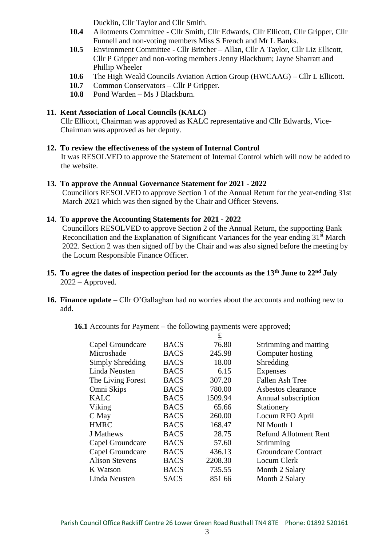Ducklin, Cllr Taylor and Cllr Smith.

- **10.4** Allotments Committee Cllr Smith, Cllr Edwards, Cllr Ellicott, Cllr Gripper, Cllr Funnell and non-voting members Miss S French and Mr L Banks.
- **10.5** Environment Committee Cllr Britcher Allan, Cllr A Taylor, Cllr Liz Ellicott, Cllr P Gripper and non-voting members Jenny Blackburn; Jayne Sharratt and Phillip Wheeler
- **10.6** The High Weald Councils Aviation Action Group (HWCAAG) Cllr L Ellicott.
- **10.7** Common Conservators Cllr P Gripper.
- **10.8** Pond Warden Ms J Blackburn.

# **11. Kent Association of Local Councils (KALC)**

Cllr Ellicott, Chairman was approved as KALC representative and Cllr Edwards, Vice-Chairman was approved as her deputy.

#### **12. To review the effectiveness of the system of Internal Control**

It was RESOLVED to approve the Statement of Internal Control which will now be added to the website.

#### **13. To approve the Annual Governance Statement for 2021** - **2022**

 Councillors RESOLVED to approve Section 1 of the Annual Return for the year-ending 31st March 2021 which was then signed by the Chair and Officer Stevens.

# **14**. **To approve the Accounting Statements for 2021** - **2022**

 Councillors RESOLVED to approve Section 2 of the Annual Return, the supporting Bank Reconciliation and the Explanation of Significant Variances for the year ending 31<sup>st</sup> March 2022. Section 2 was then signed off by the Chair and was also signed before the meeting by the Locum Responsible Finance Officer.

- **15. To agree the dates of inspection period for the accounts as the 13th June to 22nd July**  2022 – Approved.
- **16. Finance update –** Cllr O'Gallaghan had no worries about the accounts and nothing new to add.
	- **16.1** Accounts for Payment the following payments were approved;

|                       |             | $\underline{\underline{\mathbf{f}}}$ |                              |
|-----------------------|-------------|--------------------------------------|------------------------------|
| Capel Groundcare      | <b>BACS</b> | 76.80                                | Strimming and matting        |
| Microshade            | <b>BACS</b> | 245.98                               | Computer hosting             |
| Simply Shredding      | <b>BACS</b> | 18.00                                | Shredding                    |
| Linda Neusten         | <b>BACS</b> | 6.15                                 | <b>Expenses</b>              |
| The Living Forest     | <b>BACS</b> | 307.20                               | <b>Fallen Ash Tree</b>       |
| Omni Skips            | <b>BACS</b> | 780.00                               | Asbestos clearance           |
| <b>KALC</b>           | <b>BACS</b> | 1509.94                              | Annual subscription          |
| Viking                | <b>BACS</b> | 65.66                                | Stationery                   |
| C May                 | <b>BACS</b> | 260.00                               | Locum RFO April              |
| <b>HMRC</b>           | <b>BACS</b> | 168.47                               | NI Month 1                   |
| J Mathews             | <b>BACS</b> | 28.75                                | <b>Refund Allotment Rent</b> |
| Capel Groundcare      | <b>BACS</b> | 57.60                                | Strimming                    |
| Capel Groundcare      | <b>BACS</b> | 436.13                               | <b>Groundcare Contract</b>   |
| <b>Alison Stevens</b> | <b>BACS</b> | 2208.30                              | Locum Clerk                  |
| K Watson              | <b>BACS</b> | 735.55                               | Month 2 Salary               |
| Linda Neusten         | <b>SACS</b> | 851 66                               | Month 2 Salary               |
|                       |             |                                      |                              |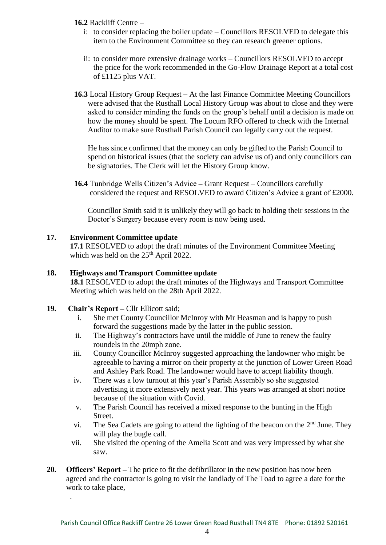# **16.2** Rackliff Centre –

- i: to consider replacing the boiler update Councillors RESOLVED to delegate this item to the Environment Committee so they can research greener options.
- ii: to consider more extensive drainage works Councillors RESOLVED to accept the price for the work recommended in the Go-Flow Drainage Report at a total cost of £1125 plus VAT.
- **16.3** Local History Group Request At the last Finance Committee Meeting Councillors were advised that the Rusthall Local History Group was about to close and they were asked to consider minding the funds on the group's behalf until a decision is made on how the money should be spent. The Locum RFO offered to check with the Internal Auditor to make sure Rusthall Parish Council can legally carry out the request.

He has since confirmed that the money can only be gifted to the Parish Council to spend on historical issues (that the society can advise us of) and only councillors can be signatories. The Clerk will let the History Group know.

**16.4** Tunbridge Wells Citizen's Advice **–** Grant Request – Councillors carefully considered the request and RESOLVED to award Citizen's Advice a grant of £2000.

Councillor Smith said it is unlikely they will go back to holding their sessions in the Doctor's Surgery because every room is now being used.

# **17. Environment Committee update**

**17.1** RESOLVED to adopt the draft minutes of the Environment Committee Meeting which was held on the  $25<sup>th</sup>$  April 2022.

# **18. Highways and Transport Committee update**

 **18.1** RESOLVED to adopt the draft minutes of the Highways and Transport Committee Meeting which was held on the 28th April 2022.

### **19. Chair's Report –** Cllr Ellicott said;

.

- i. She met County Councillor McInroy with Mr Heasman and is happy to push forward the suggestions made by the latter in the public session.
- ii. The Highway's contractors have until the middle of June to renew the faulty roundels in the 20mph zone.
- iii. County Councillor McInroy suggested approaching the landowner who might be agreeable to having a mirror on their property at the junction of Lower Green Road and Ashley Park Road. The landowner would have to accept liability though.
- iv. There was a low turnout at this year's Parish Assembly so she suggested advertising it more extensively next year. This years was arranged at short notice because of the situation with Covid.
- v. The Parish Council has received a mixed response to the bunting in the High Street.
- vi. The Sea Cadets are going to attend the lighting of the beacon on the  $2<sup>nd</sup>$  June. They will play the bugle call.
- vii. She visited the opening of the Amelia Scott and was very impressed by what she saw.
- **20. Officers' Report –** The price to fit the defibrillator in the new position has now been agreed and the contractor is going to visit the landlady of The Toad to agree a date for the work to take place,